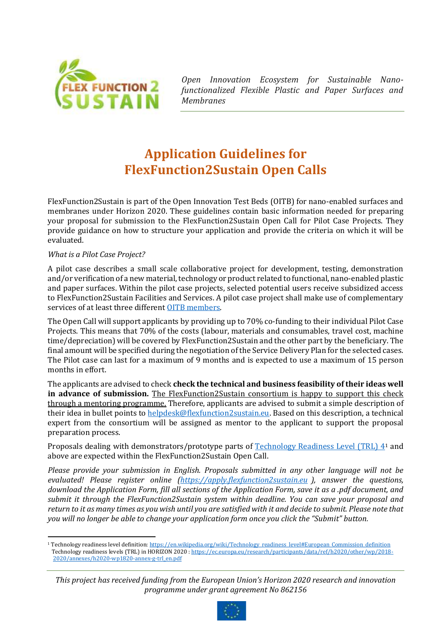

*Open Innovation Ecosystem for Sustainable Nanofunctionalized Flexible Plastic and Paper Surfaces and Membranes*

# **Application Guidelines for FlexFunction2Sustain Open Calls**

FlexFunction2Sustain is part of the Open Innovation Test Beds (OITB) for nano-enabled surfaces and membranes under Horizon 2020. These guidelines contain basic information needed for preparing your proposal for submission to the FlexFunction2Sustain Open Call for Pilot Case Projects. They provide guidance on how to structure your application and provide the criteria on which it will be evaluated.

## *What is a Pilot Case Project?*

A pilot case describes a small scale collaborative project for development, testing, demonstration and/or verification of a new material, technology or product related to functional, nano-enabled plastic and paper surfaces. Within the pilot case projects, selected potential users receive subsidized access to FlexFunction2Sustain Facilities and Services. A pilot case project shall make use of complementary services of at least three different [OITB members.](https://flexfunction2sustain.eu/who-we-are/)

The Open Call will support applicants by providing up to 70% co-funding to their individual Pilot Case Projects. This means that 70% of the costs (labour, materials and consumables, travel cost, machine time/depreciation) will be covered by FlexFunction2Sustain and the other part by the beneficiary. The final amount will be specified during the negotiation of the Service Delivery Plan for the selected cases. The Pilot case can last for a maximum of 9 months and is expected to use a maximum of 15 person months in effort.

The applicants are advised to check **check the technical and business feasibility of their ideas well in advance of submission.** The FlexFunction2Sustain consortium is happy to support this check through a mentoring programme. Therefore, applicants are advised to submit a simple description of their idea in bullet points to [helpdesk@flexfunction2sustain.eu.](mailto:helpdesk@flexfunction2sustain.eu) Based on this description, a technical expert from the consortium will be assigned as mentor to the applicant to support the proposal preparation process.

Proposals dealing with demonstrators/prototype parts of [Technology Readiness Level \(TRL\) 4](https://ec.europa.eu/research/participants/data/ref/h2020/other/wp/2018-2020/annexes/h2020-wp1820-annex-g-trl_en.pdf)<sup>1</sup> and above are expected within the FlexFunction2Sustain Open Call.

*Please provide your submission in English. Proposals submitted in any other language will not be evaluated! Please register online [\(https://apply.flexfunction2sustain.eu](https://apply.flexfunction2sustain.eu/) ), answer the questions, download the Application Form, fill all sections of the Application Form, save it as a .pdf document, and submit it through the FlexFunction2Sustain system within deadline. You can save your proposal and return to it as many times as you wish until you are satisfied with it and decide to submit. Please note that you will no longer be able to change your application form once you click the "Submit" button.* 

*This project has received funding from the European Union's Horizon 2020 research and innovation programme under grant agreement No 862156*



<sup>&</sup>lt;sup>1</sup> Technology readiness level definition: https://en.wikipedia.org/wiki/Technology\_readiness\_level#European\_Commission\_definition Technology readiness levels (TRL) in HORIZON 2020 [: https://ec.europa.eu/research/participants/data/ref/h2020/other/wp/2018-](https://ec.europa.eu/research/participants/data/ref/h2020/other/wp/2018-2020/annexes/h2020-wp1820-annex-g-trl_en.pdf) [2020/annexes/h2020-wp1820-annex-g-trl\\_en.pdf](https://ec.europa.eu/research/participants/data/ref/h2020/other/wp/2018-2020/annexes/h2020-wp1820-annex-g-trl_en.pdf)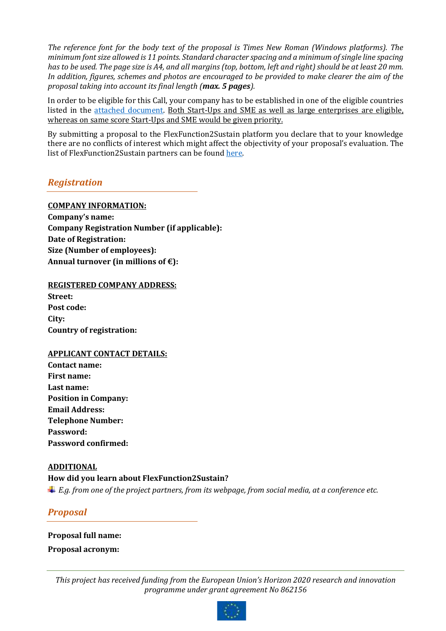*The reference font for the body text of the proposal is Times New Roman (Windows platforms). The minimum font size allowed is 11 points. Standard character spacing and a minimum of single line spacing*  has to be used. The page size is A4, and all margins (top, bottom, left and right) should be at least 20 mm. *In addition, figures, schemes and photos are encouraged to be provided to make clearer the aim of the proposal taking into account its final length (max. 5 pages).* 

In order to be eligible for this Call, your company has to be established in one of the eligible countries listed in the [attached document.](https://ec.europa.eu/research/participants/data/ref/h2020/other/wp/2018-2020/annexes/h2020-wp1820-annex-a-countries-rules_en.pdf) Both Start-Ups and SME as well as large enterprises are eligible. whereas on same score Start-Ups and SME would be given priority.

By submitting a proposal to the FlexFunction2Sustain platform you declare that to your knowledge there are no conflicts of interest which might affect the objectivity of your proposal's evaluation. The list of FlexFunction2Sustain partners can be found [here.](https://flexfunction2sustain.eu/who-we-are/)

# *Registration*

## **COMPANY INFORMATION:**

**Company's name: Company Registration Number (if applicable): Date of Registration: Size (Number of employees): Annual turnover (in millions of €):** 

## **REGISTERED COMPANY ADDRESS:**

**Street: Post code: City: Country of registration:**

## **APPLICANT CONTACT DETAILS:**

**Contact name: First name: Last name: Position in Company: Email Address: Telephone Number: Password: Password confirmed:**

## **ADDITIONAL**

## **How did you learn about FlexFunction2Sustain?**

*E.g. from one of the project partners, from its webpage, from social media, at a conference etc.*

# *Proposal*

**Proposal full name: Proposal acronym:**

*This project has received funding from the European Union's Horizon 2020 research and innovation programme under grant agreement No 862156*

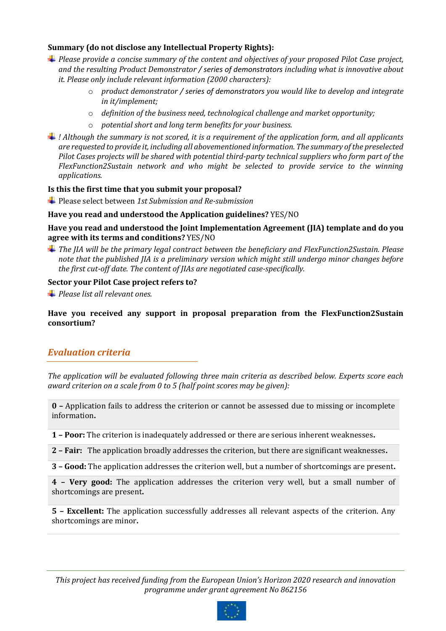## **Summary (do not disclose any Intellectual Property Rights):**

- *Please provide a concise summary of the content and objectives of your proposed Pilot Case project, and the resulting Product Demonstrator / series of demonstrators including what is innovative about it. Please only include relevant information (2000 characters):* 
	- o *product demonstrator / series of demonstrators you would like to develop and integrate in it/implement;*
	- o *definition of the business need, technological challenge and market opportunity;*
	- o *potential short and long term benefits for your business.*
- *! Although the summary is not scored, it is a requirement of the application form, and all applicants are requested to provide it, including all abovementioned information. The summary of the preselected Pilot Cases projects will be shared with potential third-party technical suppliers who form part of the FlexFunction2Sustain network and who might be selected to provide service to the winning applications.*

## **Is this the first time that you submit your proposal?**

Please select between *1st Submission and Re-submission*

## **Have you read and understood the Application guidelines?** YES/NO

**Have you read and understood the Joint Implementation Agreement (JIA) template and do you agree with its terms and conditions?** YES/NO

*The JIA will be the primary legal contract between the beneficiary and FlexFunction2Sustain. Please note that the published JIA is a preliminary version which might still undergo minor changes before the first cut-off date. The content of JIAs are negotiated case-specifically.*

## **Sector your Pilot Case project refers to?**

*Please list all relevant ones.*

**Have you received any support in proposal preparation from the FlexFunction2Sustain consortium?**

## *Evaluation criteria*

*The application will be evaluated following three main criteria as described below. Experts score each award criterion on a scale from 0 to 5 (half point scores may be given):*

**0 –** Application fails to address the criterion or cannot be assessed due to missing or incomplete information**.**

**1 – Poor:** The criterion is inadequately addressed or there are serious inherent weaknesses**.**

**2 – Fair:** The application broadly addresses the criterion, but there are significant weaknesses**.**

**3 – Good:** The application addresses the criterion well, but a number of shortcomings are present**.**

**4 – Very good:** The application addresses the criterion very well, but a small number of shortcomings are present**.**

**5 – Excellent:** The application successfully addresses all relevant aspects of the criterion. Any shortcomings are minor**.**

*This project has received funding from the European Union's Horizon 2020 research and innovation programme under grant agreement No 862156*

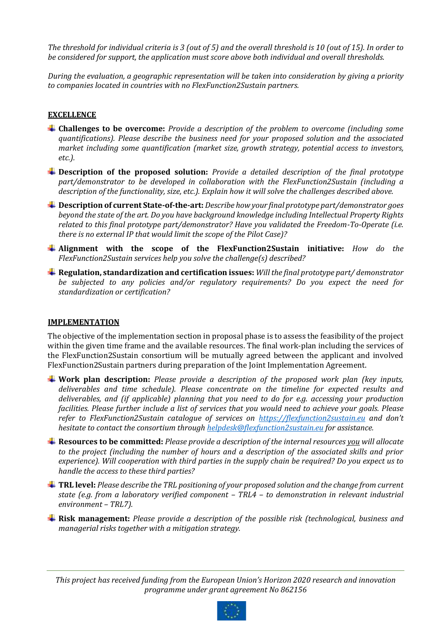*The threshold for individual criteria is 3 (out of 5) and the overall threshold is 10 (out of 15). In order to be considered for support, the application must score above both individual and overall thresholds.*

*During the evaluation, a geographic representation will be taken into consideration by giving a priority to companies located in countries with no FlexFunction2Sustain partners.*

## **EXCELLENCE**

- **Challenges to be overcome:** *Provide a description of the problem to overcome (including some quantifications). Please describe the business need for your proposed solution and the associated market including some quantification (market size, growth strategy, potential access to investors, etc.).*
- **Description of the proposed solution:** *Provide a detailed description of the final prototype part/demonstrator to be developed in collaboration with the FlexFunction2Sustain (including a description of the functionality, size, etc.). Explain how it will solve the challenges described above.*
- **Description of current State-of-the-art:** *Describe how your final prototype part/demonstrator goes beyond the state of the art. Do you have background knowledge including Intellectual Property Rights related to this final prototype part/demonstrator? Have you validated the Freedom-To-Operate (i.e. there is no external IP that would limit the scope of the Pilot Case)?*
- **Alignment with the scope of the FlexFunction2Sustain initiative:** *How do the FlexFunction2Sustain services help you solve the challenge(s) described?*
- **Regulation, standardization and certification issues:** *Will the final prototype part/ demonstrator be subjected to any policies and/or regulatory requirements? Do you expect the need for standardization or certification?*

## **IMPLEMENTATION**

The objective of the implementation section in proposal phase is to assess the feasibility of the project within the given time frame and the available resources. The final work-plan including the services of the FlexFunction2Sustain consortium will be mutually agreed between the applicant and involved FlexFunction2Sustain partners during preparation of the Joint Implementation Agreement.

- **Work plan description:** *Please provide a description of the proposed work plan (key inputs, deliverables and time schedule). Please concentrate on the timeline for expected results and deliverables, and (if applicable) planning that you need to do for e.g. accessing your production facilities. Please further include a list of services that you would need to achieve your goals. Please refer to FlexFunction2Sustain catalogue of services on [https://flexfunction2sustain.eu](https://flexfunction2sustain.eu/) and don't hesitate to contact the consortium through [helpdesk@flexfunction2sustain.eu](mailto:helpdesk@flexfunction2sustain.eu) for assistance.*
- **Resources to be committed:** *Please provide a description of the internal resources you will allocate to the project (including the number of hours and a description of the associated skills and prior experience). Will cooperation with third parties in the supply chain be required? Do you expect us to handle the access to these third parties?*
- **TRL level:** *Please describe the TRL positioning of your proposed solution and the change from current state (e.g. from a laboratory verified component – TRL4 – to demonstration in relevant industrial environment – TRL7).*
- **Risk management:** *Please provide a description of the possible risk (technological, business and managerial risks together with a mitigation strategy.*

*This project has received funding from the European Union's Horizon 2020 research and innovation programme under grant agreement No 862156*